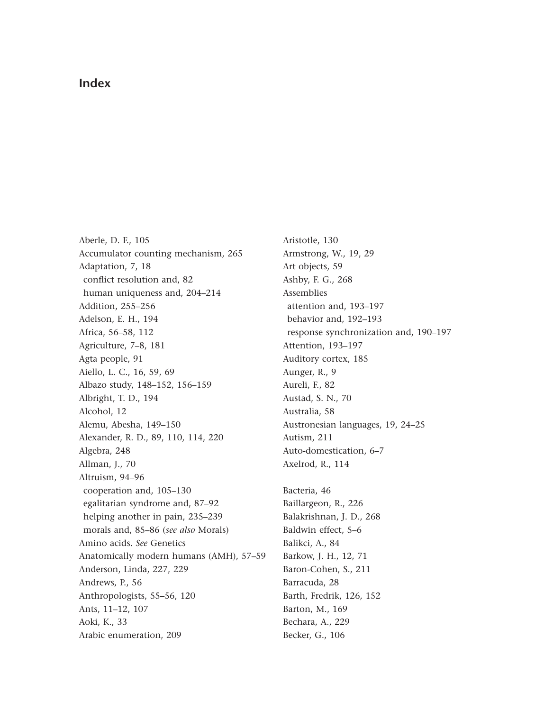## **Index**

Aberle, D. F., 105 Accumulator counting mechanism, 265 Adaptation, 7, 18 conflict resolution and, 82 human uniqueness and, 204–214 Addition, 255–256 Adelson, E. H., 194 Africa, 56–58, 112 Agriculture, 7–8, 181 Agta people, 91 Aiello, L. C., 16, 59, 69 Albazo study, 148–152, 156–159 Albright, T. D., 194 Alcohol, 12 Alemu, Abesha, 149–150 Alexander, R. D., 89, 110, 114, 220 Algebra, 248 Allman, J., 70 Altruism, 94–96 cooperation and, 105–130 egalitarian syndrome and, 87–92 helping another in pain, 235–239 morals and, 85–86 (*see also* Morals) Amino acids. *See* Genetics [Anatomically modern humans \(AMH\), 57–59](#page--1-0) Anderson, Linda, 227, 229 Andrews, P., 56 Anthropologists, 55–56, 120 Ants, 11–12, 107 Aoki, K., 33 Arabic enumeration, 209

Aristotle, 130 Armstrong, W., 19, 29 Art objects, 59 Ashby, F. G., 268 Assemblies attention and, 193–197 behavior and, 192–193 response synchronization and, 190–197 Attention, 193–197 Auditory cortex, 185 Aunger, R., 9 Aureli, F., 82 Austad, S. N., 70 Australia, 58 Austronesian languages, 19, 24–25 Autism, 211 Auto-domestication, 6–7 Axelrod, R., 114

Bacteria, 46 Baillargeon, R., 226 Balakrishnan, J. D., 268 Baldwin effect, 5–6 Balikci, A., 84 Barkow, J. H., 12, 71 Baron-Cohen, S., 211 Barracuda, 28 Barth, Fredrik, 126, 152 Barton, M., 169 Bechara, A., 229 Becker, G., 106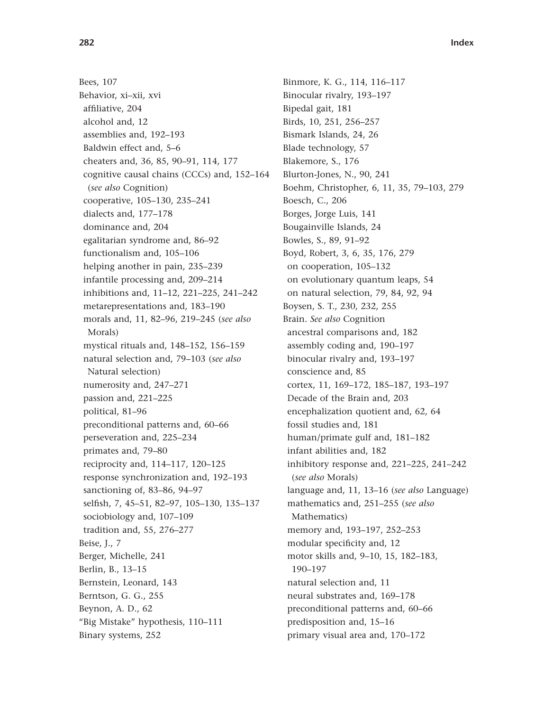Bees, 107 Behavior, xi–xii, xvi affiliative, 204 alcohol and, 12 assemblies and, 192–193 Baldwin effect and, 5–6 cheaters and, 36, 85, 90–91, 114, 177 cognitive causal chains (CCCs) and, 152–164 (*see also* Cognition) cooperative, 105–130, 235–241 dialects and, 177–178 dominance and, 204 egalitarian syndrome and, 86–92 functionalism and, 105–106 helping another in pain, 235–239 infantile processing and, 209–214 inhibitions and, 11–12, 221–225, 241–242 metarepresentations and, 183–190 morals and, 11, 82–96, 219–245 (*see also* Morals) mystical rituals and, 148–152, 156–159 natural selection and, 79–103 (*see also* Natural selection) numerosity and, 247–271 passion and, 221–225 political, 81–96 preconditional patterns and, 60–66 perseveration and, 225–234 primates and, 79–80 reciprocity and, 114–117, 120–125 response synchronization and, 192–193 sanctioning of, 83–86, 94–97 selfish, 7, 45–51, 82–97, 105–130, 135–137 sociobiology and, 107–109 tradition and, 55, 276–277 Beise, J., 7 Berger, Michelle, 241 Berlin, B., 13–15 Bernstein, Leonard, 143 Berntson, G. G., 255 Beynon, A. D., 62 "Big Mistake" hypothesis, 110–111 Binary systems, 252

Binmore, K. G., 114, 116–117 Binocular rivalry, 193–197 Bipedal gait, 181 Birds, 10, 251, 256–257 Bismark Islands, 24, 26 Blade technology, 57 Blakemore, S., 176 Blurton-Jones, N., 90, 241 Boehm, Christopher, 6, 11, 35, 79–103, 279 Boesch, C., 206 Borges, Jorge Luis, 141 Bougainville Islands, 24 Bowles, S., 89, 91–92 Boyd, Robert, 3, 6, 35, 176, 279 on cooperation, 105–132 on evolutionary quantum leaps, 54 on natural selection, 79, 84, 92, 94 Boysen, S. T., 230, 232, 255 Brain. *See also* Cognition ancestral comparisons and, 182 assembly coding and, 190–197 binocular rivalry and, 193–197 conscience and, 85 cortex, 11, 169–172, 185–187, 193–197 Decade of the Brain and, 203 encephalization quotient and, 62, 64 fossil studies and, 181 human/primate gulf and, 181–182 infant abilities and, 182 inhibitory response and, 221–225, 241–242 (*see also* Morals) language and, 11, 13–16 (*see also* Language) mathematics and, 251–255 (*see also* Mathematics) memory and, 193–197, 252–253 modular specificity and, 12 motor skills and, 9–10, 15, 182–183, 190–197 natural selection and, 11 neural substrates and, 169–178 preconditional patterns and, 60–66 predisposition and, 15–16 primary visual area and, 170–172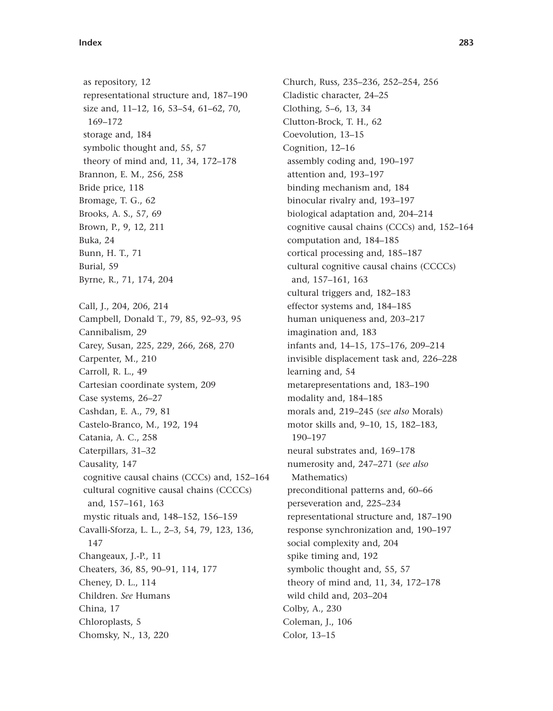as repository, 12 representational structure and, 187–190 size and, 11–12, 16, 53–54, 61–62, 70, 169–172 storage and, 184 symbolic thought and, 55, 57 theory of mind and, 11, 34, 172–178 Brannon, E. M., 256, 258 Bride price, 118 Bromage, T. G., 62 Brooks, A. S., 57, 69 Brown, P., 9, 12, 211 Buka, 24 Bunn, H. T., 71 Burial, 59 Byrne, R., 71, 174, 204 Call, J., 204, 206, 214 Campbell, Donald T., 79, 85, 92–93, 95 Cannibalism, 29 Carey, Susan, 225, 229, 266, 268, 270 Carpenter, M., 210 Carroll, R. L., 49 Cartesian coordinate system, 209 Case systems, 26–27 Cashdan, E. A., 79, 81 Castelo-Branco, M., 192, 194 Catania, A. C., 258 Caterpillars, 31–32 Causality, 147 cognitive causal chains (CCCs) and, 152–164 cultural cognitive causal chains (CCCCs) and, 157–161, 163 mystic rituals and, 148–152, 156–159 Cavalli-Sforza, L. L., 2–3, 54, 79, 123, 136, 147 Changeaux, J.-P., 11 Cheaters, 36, 85, 90–91, 114, 177 Cheney, D. L., 114 Children. *See* Humans China, 17 Chloroplasts, 5 Chomsky, N., 13, 220

Church, Russ, 235–236, 252–254, 256 Cladistic character, 24–25 Clothing, 5–6, 13, 34 Clutton-Brock, T. H., 62 Coevolution, 13–15 Cognition, 12–16 assembly coding and, 190–197 attention and, 193–197 binding mechanism and, 184 binocular rivalry and, 193–197 biological adaptation and, 204–214 cognitive causal chains (CCCs) and, 152–164 computation and, 184–185 cortical processing and, 185–187 cultural cognitive causal chains (CCCCs) and, 157–161, 163 cultural triggers and, 182–183 effector systems and, 184–185 human uniqueness and, 203–217 imagination and, 183 infants and, 14–15, 175–176, 209–214 invisible displacement task and, 226–228 learning and, 54 metarepresentations and, 183–190 modality and, 184–185 morals and, 219–245 (*see also* Morals) motor skills and, 9–10, 15, 182–183, 190–197 neural substrates and, 169–178 numerosity and, 247–271 (*see also* Mathematics) preconditional patterns and, 60–66 perseveration and, 225–234 representational structure and, 187–190 response synchronization and, 190–197 social complexity and, 204 spike timing and, 192 symbolic thought and, 55, 57 theory of mind and, 11, 34, 172–178 wild child and, 203–204 Colby, A., 230 Coleman, J., 106 Color, 13–15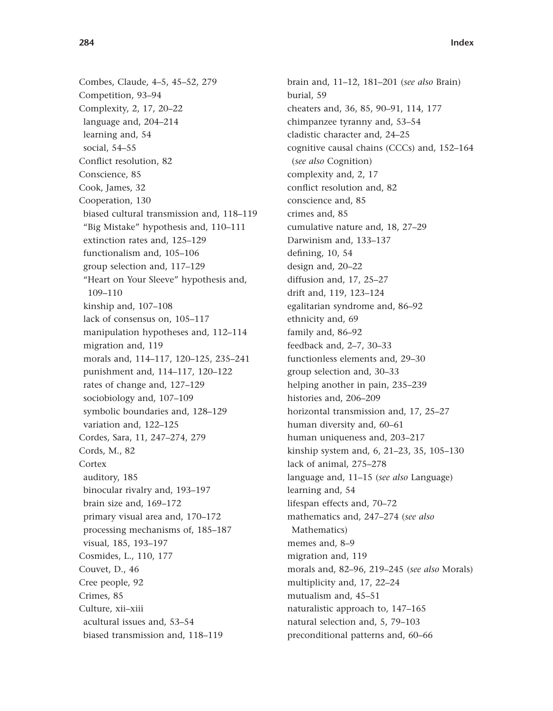Combes, Claude, 4–5, 45–52, 279 Competition, 93–94 Complexity, 2, 17, 20–22 language and, 204–214 learning and, 54 social, 54–55 Conflict resolution, 82 Conscience, 85 Cook, James, 32 Cooperation, 130 biased cultural transmission and, 118–119 "Big Mistake" hypothesis and, 110–111 extinction rates and, 125–129 functionalism and, 105–106 group selection and, 117–129 "Heart on Your Sleeve" hypothesis and, 109–110 kinship and, 107–108 lack of consensus on, 105–117 manipulation hypotheses and, 112–114 migration and, 119 morals and, 114–117, 120–125, 235–241 punishment and, 114–117, 120–122 rates of change and, 127–129 sociobiology and, 107–109 symbolic boundaries and, 128–129 variation and, 122–125 Cordes, Sara, 11, 247–274, 279 Cords, M., 82 Cortex auditory, 185 binocular rivalry and, 193–197 brain size and, 169–172 primary visual area and, 170–172 processing mechanisms of, 185–187 visual, 185, 193–197 Cosmides, L., 110, 177 Couvet, D., 46 Cree people, 92 Crimes, 85 Culture, xii–xiii acultural issues and, 53–54 biased transmission and, 118–119

brain and, 11–12, 181–201 (*see also* Brain) burial, 59 cheaters and, 36, 85, 90–91, 114, 177 chimpanzee tyranny and, 53–54 cladistic character and, 24–25 cognitive causal chains (CCCs) and, 152–164 (*see also* Cognition) complexity and, 2, 17 conflict resolution and, 82 conscience and, 85 crimes and, 85 cumulative nature and, 18, 27–29 Darwinism and, 133–137 defining, 10, 54 design and, 20–22 diffusion and, 17, 25–27 drift and, 119, 123–124 egalitarian syndrome and, 86–92 ethnicity and, 69 family and, 86–92 feedback and, 2–7, 30–33 functionless elements and, 29–30 group selection and, 30–33 helping another in pain, 235–239 histories and, 206–209 horizontal transmission and, 17, 25–27 human diversity and, 60–61 human uniqueness and, 203–217 kinship system and, 6, 21–23, 35, 105–130 lack of animal, 275–278 language and, 11–15 (*see also* Language) learning and, 54 lifespan effects and, 70–72 mathematics and, 247–274 (*see also* Mathematics) memes and, 8–9 migration and, 119 morals and, 82–96, 219–245 (*see also* Morals) multiplicity and, 17, 22–24 mutualism and, 45–51 naturalistic approach to, 147–165 natural selection and, 5, 79–103 preconditional patterns and, 60–66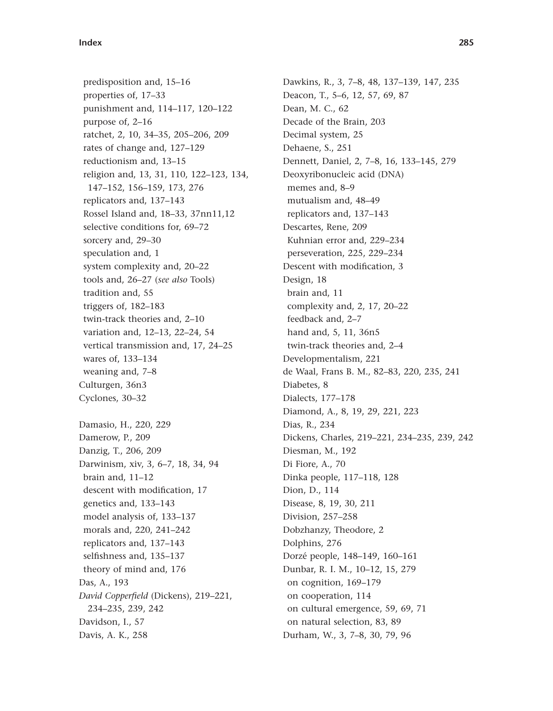predisposition and, 15–16 properties of, 17–33 punishment and, 114–117, 120–122 purpose of, 2–16 ratchet, 2, 10, 34–35, 205–206, 209 rates of change and, 127–129 reductionism and, 13–15 religion and, 13, 31, 110, 122–123, 134, 147–152, 156–159, 173, 276 replicators and, 137–143 Rossel Island and, 18–33, 37nn11,12 selective conditions for, 69–72 sorcery and, 29–30 speculation and, 1 system complexity and, 20–22 tools and, 26–27 (*see also* Tools) tradition and, 55 triggers of, 182–183 twin-track theories and, 2–10 variation and, 12–13, 22–24, 54 vertical transmission and, 17, 24–25 wares of, 133–134 weaning and, 7–8 Culturgen, 36n3 Cyclones, 30–32 Damasio, H., 220, 229 Damerow, P., 209 Danzig, T., 206, 209 Darwinism, xiv, 3, 6–7, 18, 34, 94 brain and, 11–12 descent with modification, 17 genetics and, 133–143 model analysis of, 133–137 morals and, 220, 241–242 replicators and, 137–143 selfishness and, 135–137 theory of mind and, 176 Das, A., 193 *David Copperfield* (Dickens), 219–221, 234–235, 239, 242 Davidson, I., 57 Davis, A. K., 258

Dawkins, R., 3, 7–8, 48, 137–139, 147, 235 Deacon, T., 5–6, 12, 57, 69, 87 Dean, M. C., 62 Decade of the Brain, 203 Decimal system, 25 Dehaene, S., 251 Dennett, Daniel, 2, 7–8, 16, 133–145, 279 Deoxyribonucleic acid (DNA) memes and, 8–9 mutualism and, 48–49 replicators and, 137–143 Descartes, Rene, 209 Kuhnian error and, 229–234 perseveration, 225, 229–234 Descent with modification, 3 Design, 18 brain and, 11 complexity and, 2, 17, 20–22 feedback and, 2–7 hand and, 5, 11, 36n5 twin-track theories and, 2–4 Developmentalism, 221 de Waal, Frans B. M., 82–83, 220, 235, 241 Diabetes, 8 Dialects, 177–178 Diamond, A., 8, 19, 29, 221, 223 Dias, R., 234 Dickens, Charles, 219–221, 234–235, 239, 242 Diesman, M., 192 Di Fiore, A., 70 Dinka people, 117–118, 128 Dion, D., 114 Disease, 8, 19, 30, 211 Division, 257–258 Dobzhanzy, Theodore, 2 Dolphins, 276 Dorzé people, 148–149, 160–161 Dunbar, R. I. M., 10–12, 15, 279 on cognition, 169–179 on cooperation, 114 on cultural emergence, 59, 69, 71 on natural selection, 83, 89 Durham, W., 3, 7–8, 30, 79, 96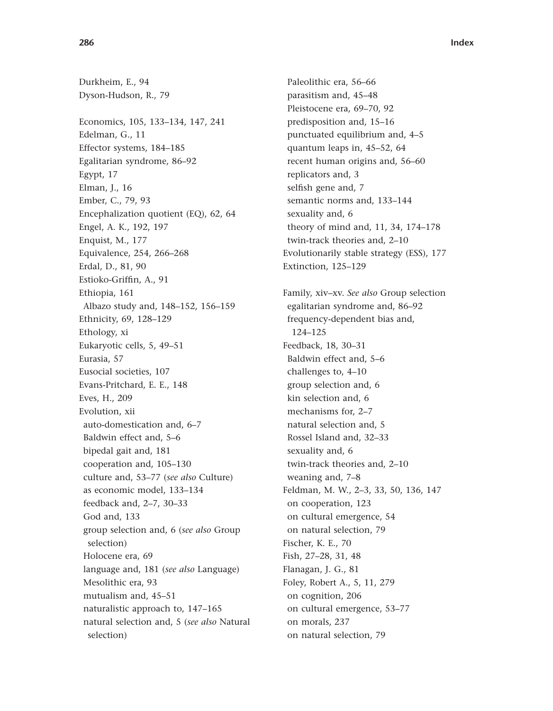Durkheim, E., 94 Dyson-Hudson, R., 79 Economics, 105, 133–134, 147, 241 Edelman, G., 11 Effector systems, 184–185 Egalitarian syndrome, 86–92 Egypt, 17 Elman, J., 16 Ember, C., 79, 93 Encephalization quotient (EQ), 62, 64 Engel, A. K., 192, 197 Enquist, M., 177 Equivalence, 254, 266–268 Erdal, D., 81, 90 Estioko-Griffin, A., 91 Ethiopia, 161 Albazo study and, 148–152, 156–159 Ethnicity, 69, 128–129 Ethology, xi Eukaryotic cells, 5, 49–51 Eurasia, 57 Eusocial societies, 107 Evans-Pritchard, E. E., 148 Eves, H., 209 Evolution, xii auto-domestication and, 6–7 Baldwin effect and, 5–6 bipedal gait and, 181 cooperation and, 105–130 culture and, 53–77 (*see also* Culture) as economic model, 133–134 feedback and, 2–7, 30–33 God and, 133 group selection and, 6 (*see also* Group selection) Holocene era, 69 language and, 181 (*see also* Language) Mesolithic era, 93 mutualism and, 45–51 naturalistic approach to, 147–165 natural selection and, 5 (*see also* Natural selection)

Paleolithic era, 56–66 parasitism and, 45–48 Pleistocene era, 69–70, 92 predisposition and, 15–16 punctuated equilibrium and, 4–5 quantum leaps in, 45–52, 64 recent human origins and, 56–60 replicators and, 3 selfish gene and, 7 semantic norms and, 133–144 sexuality and, 6 theory of mind and, 11, 34, 174–178 twin-track theories and, 2–10 Evolutionarily stable strategy (ESS), 177 Extinction, 125–129 Family, xiv–xv. *See also* Group selection egalitarian syndrome and, 86–92 frequency-dependent bias and, 124–125 Feedback, 18, 30–31 Baldwin effect and, 5–6 challenges to, 4–10 group selection and, 6 kin selection and, 6 mechanisms for, 2–7 natural selection and, 5 Rossel Island and, 32–33 sexuality and, 6 twin-track theories and, 2–10 weaning and, 7–8 Feldman, M. W., 2–3, 33, 50, 136, 147 on cooperation, 123 on cultural emergence, 54 on natural selection, 79 Fischer, K. E., 70 Fish, 27–28, 31, 48 Flanagan, J. G., 81 Foley, Robert A., 5, 11, 279 on cognition, 206 on cultural emergence, 53–77 on morals, 237 on natural selection, 79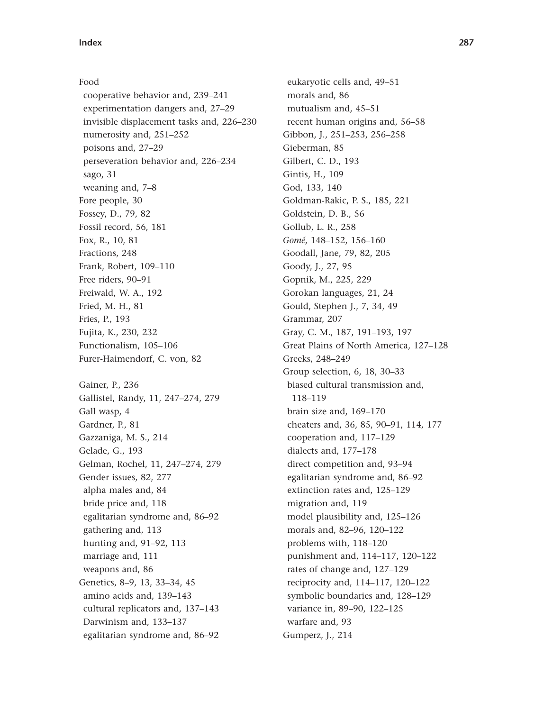Food cooperative behavior and, 239–241 experimentation dangers and, 27–29 invisible displacement tasks and, 226–230 numerosity and, 251–252 poisons and, 27–29 perseveration behavior and, 226–234 sago, 31 weaning and, 7–8 Fore people, 30 Fossey, D., 79, 82 Fossil record, 56, 181 Fox, R., 10, 81 Fractions, 248 Frank, Robert, 109–110 Free riders, 90–91 Freiwald, W. A., 192 Fried, M. H., 81 Fries, P., 193 Fujita, K., 230, 232 Functionalism, 105–106 Furer-Haimendorf, C. von, 82 Gainer, P., 236 Gallistel, Randy, 11, 247–274, 279 Gall wasp, 4 Gardner, P., 81 Gazzaniga, M. S., 214 Gelade, G., 193 Gelman, Rochel, 11, 247–274, 279 Gender issues, 82, 277 alpha males and, 84 bride price and, 118 egalitarian syndrome and, 86–92 gathering and, 113 hunting and, 91–92, 113 marriage and, 111 weapons and, 86 Genetics, 8–9, 13, 33–34, 45 amino acids and, 139–143 cultural replicators and, 137–143 Darwinism and, 133–137 egalitarian syndrome and, 86–92

eukaryotic cells and, 49–51 morals and, 86 mutualism and, 45–51 recent human origins and, 56–58 Gibbon, J., 251–253, 256–258 Gieberman, 85 Gilbert, C. D., 193 Gintis, H., 109 God, 133, 140 Goldman-Rakic, P. S., 185, 221 Goldstein, D. B., 56 Gollub, L. R., 258 *Gomé*, 148–152, 156–160 Goodall, Jane, 79, 82, 205 Goody, J., 27, 95 Gopnik, M., 225, 229 Gorokan languages, 21, 24 Gould, Stephen J., 7, 34, 49 Grammar, 207 Gray, C. M., 187, 191–193, 197 Great Plains of North America, 127–128 Greeks, 248–249 Group selection, 6, 18, 30–33 biased cultural transmission and, 118–119 brain size and, 169–170 cheaters and, 36, 85, 90–91, 114, 177 cooperation and, 117–129 dialects and, 177–178 direct competition and, 93–94 egalitarian syndrome and, 86–92 extinction rates and, 125–129 migration and, 119 model plausibility and, 125–126 morals and, 82–96, 120–122 problems with, 118–120 punishment and, 114–117, 120–122 rates of change and, 127–129 reciprocity and, 114–117, 120–122 symbolic boundaries and, 128–129 variance in, 89–90, 122–125 warfare and, 93 Gumperz, J., 214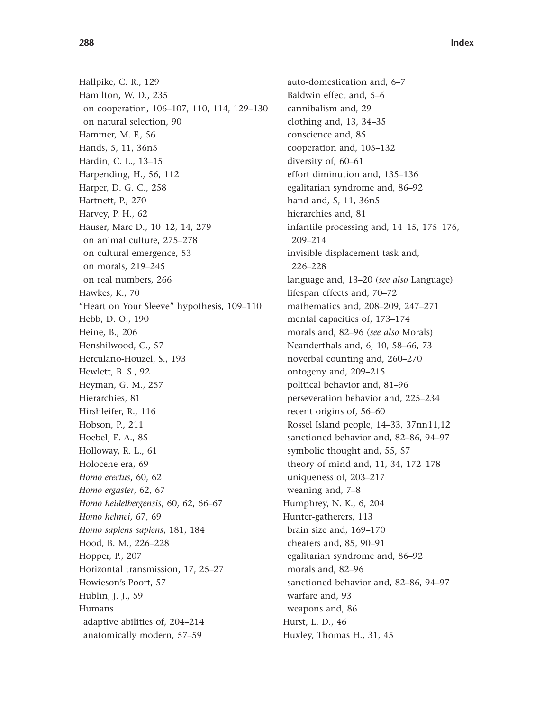Hallpike, C. R., 129 Hamilton, W. D., 235 on cooperation, 106–107, 110, 114, 129–130 on natural selection, 90 Hammer, M. F., 56 Hands, 5, 11, 36n5 Hardin, C. L., 13–15 Harpending, H., 56, 112 Harper, D. G. C., 258 Hartnett, P., 270 Harvey, P. H., 62 Hauser, Marc D., 10–12, 14, 279 on animal culture, 275–278 on cultural emergence, 53 on morals, 219–245 on real numbers, 266 Hawkes, K., 70 "Heart on Your Sleeve" hypothesis, 109–110 Hebb, D. O., 190 Heine, B., 206 Henshilwood, C., 57 Herculano-Houzel, S., 193 Hewlett, B. S., 92 Heyman, G. M., 257 Hierarchies, 81 Hirshleifer, R., 116 Hobson, P., 211 Hoebel, E. A., 85 Holloway, R. L., 61 Holocene era, 69 *Homo erectus*, 60, 62 *Homo ergaster*, 62, 67 *Homo heidelbergensis*, 60, 62, 66–67 *Homo helmei*, 67, 69 *Homo sapiens sapiens*, 181, 184 Hood, B. M., 226–228 Hopper, P., 207 Horizontal transmission, 17, 25–27 Howieson's Poort, 57 Hublin, J. J., 59 Humans adaptive abilities of, 204–214 anatomically modern, 57–59

auto-domestication and, 6–7 Baldwin effect and, 5–6 cannibalism and, 29 clothing and, 13, 34–35 conscience and, 85 cooperation and, 105–132 diversity of, 60–61 effort diminution and, 135–136 egalitarian syndrome and, 86–92 hand and, 5, 11, 36n5 hierarchies and, 81 infantile processing and, 14–15, 175–176, 209–214 invisible displacement task and, 226–228 language and, 13–20 (*see also* Language) lifespan effects and, 70–72 mathematics and, 208–209, 247–271 mental capacities of, 173–174 morals and, 82–96 (*see also* Morals) Neanderthals and, 6, 10, 58–66, 73 noverbal counting and, 260–270 ontogeny and, 209–215 political behavior and, 81–96 perseveration behavior and, 225–234 recent origins of, 56–60 Rossel Island people, 14–33, 37nn11,12 sanctioned behavior and, 82–86, 94–97 symbolic thought and, 55, 57 theory of mind and, 11, 34, 172–178 uniqueness of, 203–217 weaning and, 7–8 Humphrey, N. K., 6, 204 Hunter-gatherers, 113 brain size and, 169–170 cheaters and, 85, 90–91 egalitarian syndrome and, 86–92 morals and, 82–96 sanctioned behavior and, 82–86, 94–97 warfare and, 93 weapons and, 86 Hurst, L. D., 46 Huxley, Thomas H., 31, 45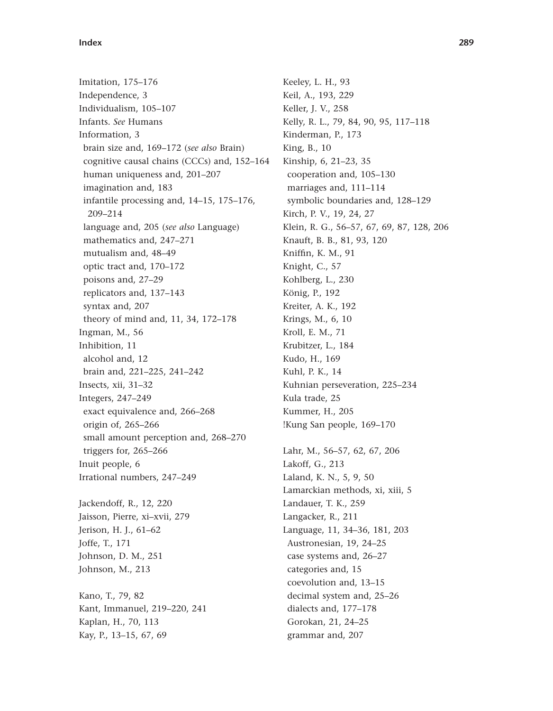Imitation, 175–176 Independence, 3 Individualism, 105–107 Infants. *See* Humans Information, 3 brain size and, 169–172 (*see also* Brain) cognitive causal chains (CCCs) and, 152–164 human uniqueness and, 201–207 imagination and, 183 infantile processing and, 14–15, 175–176, 209–214 language and, 205 (*see also* Language) mathematics and, 247–271 mutualism and, 48–49 optic tract and, 170–172 poisons and, 27–29 replicators and, 137–143 syntax and, 207 theory of mind and, 11, 34, 172–178 Ingman, M., 56 Inhibition, 11 alcohol and, 12 brain and, 221–225, 241–242 Insects, xii, 31–32 Integers, 247–249 exact equivalence and, 266–268 origin of, 265–266 small amount perception and, 268–270 triggers for, 265–266 Inuit people, 6 Irrational numbers, 247–249 Jackendoff, R., 12, 220 Jaisson, Pierre, xi–xvii, 279 Jerison, H. J., 61–62 Joffe, T., 171 Johnson, D. M., 251 Johnson, M., 213

Kano, T., 79, 82 Kant, Immanuel, 219–220, 241 Kaplan, H., 70, 113 Kay, P., 13–15, 67, 69

Keeley, L. H., 93 Keil, A., 193, 229 Keller, J. V., 258 Kelly, R. L., 79, 84, 90, 95, 117–118 Kinderman, P., 173 King, B., 10 Kinship, 6, 21–23, 35 cooperation and, 105–130 marriages and, 111–114 symbolic boundaries and, 128–129 Kirch, P. V., 19, 24, 27 Klein, R. G., 56–57, 67, 69, 87, 128, 206 Knauft, B. B., 81, 93, 120 Kniffin, K. M., 91 Knight, C., 57 Kohlberg, L., 230 König, P., 192 Kreiter, A. K., 192 Krings, M., 6, 10 Kroll, E. M., 71 Krubitzer, L., 184 Kudo, H., 169 Kuhl, P. K., 14 Kuhnian perseveration, 225–234 Kula trade, 25 Kummer, H., 205 !Kung San people, 169–170

Lahr, M., 56–57, 62, 67, 206 Lakoff, G., 213 Laland, K. N., 5, 9, 50 Lamarckian methods, xi, xiii, 5 Landauer, T. K., 259 Langacker, R., 211 Language, 11, 34–36, 181, 203 Austronesian, 19, 24–25 case systems and, 26–27 categories and, 15 coevolution and, 13–15 decimal system and, 25–26 dialects and, 177–178 Gorokan, 21, 24–25 grammar and, 207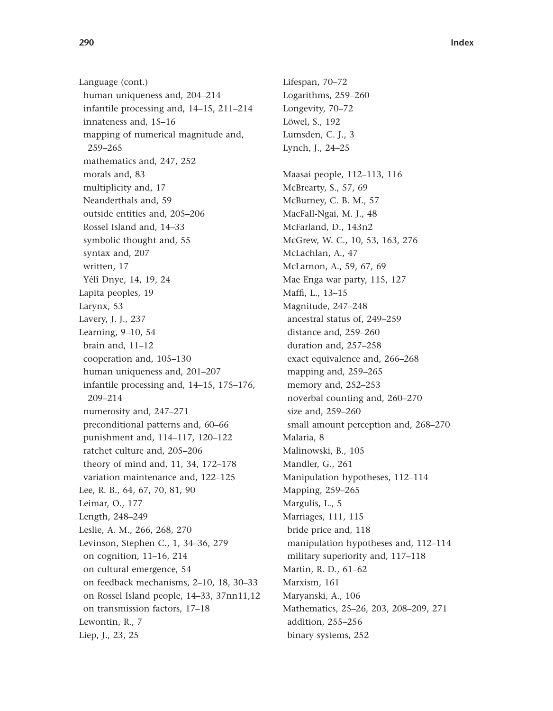Language (cont.) human uniqueness and, 204–214 infantile processing and, 14–15, 211–214 innateness and, 15–16 mapping of numerical magnitude and, 259–265 mathematics and, 247, 252 morals and, 83 multiplicity and, 17 Neanderthals and, 59 outside entities and, 205–206 Rossel Island and, 14–33 symbolic thought and, 55 syntax and, 207 written, 17 Yélî Dnye, 14, 19, 24 Lapita peoples, 19 Larynx, 53 Lavery, J. J., 237 Learning, 9–10, 54 brain and, 11–12 cooperation and, 105–130 human uniqueness and, 201–207 infantile processing and, 14–15, 175–176, 209–214 numerosity and, 247–271 preconditional patterns and, 60–66 punishment and, 114–117, 120–122 ratchet culture and, 205–206 theory of mind and, 11, 34, 172–178 variation maintenance and, 122–125 Lee, R. B., 64, 67, 70, 81, 90 Leimar, O., 177 Length, 248–249 Leslie, A. M., 266, 268, 270 Levinson, Stephen C., 1, 34–36, 279 on cognition, 11–16, 214 on cultural emergence, 54 on feedback mechanisms, 2–10, 18, 30–33 on Rossel Island people, 14–33, 37nn11,12 on transmission factors, 17–18 Lewontin, R., 7 Liep, J., 23, 25

Lifespan, 70–72 Logarithms, 259–260 Longevity, 70–72 Löwel, S., 192 Lumsden, C. J., 3 Lynch, J., 24–25 Maasai people, 112–113, 116 McBrearty, S., 57, 69 McBurney, C. B. M., 57 MacFall-Ngai, M. J., 48 McFarland, D., 143n2 McGrew, W. C., 10, 53, 163, 276 McLachlan, A., 47 McLarnon, A., 59, 67, 69 Mae Enga war party, 115, 127 Maffi, L., 13–15 Magnitude, 247–248 ancestral status of, 249–259 distance and, 259–260 duration and, 257–258 exact equivalence and, 266–268 mapping and, 259–265 memory and, 252–253 noverbal counting and, 260–270 size and, 259–260 small amount perception and, 268–270 Malaria, 8 Malinowski, B., 105 Mandler, G., 261 Manipulation hypotheses, 112–114 Mapping, 259–265 Margulis, L., 5 Marriages, 111, 115 bride price and, 118 manipulation hypotheses and, 112–114 military superiority and, 117–118 Martin, R. D., 61–62 Marxism, 161 Maryanski, A., 106 Mathematics, 25–26, 203, 208–209, 271 addition, 255–256 binary systems, 252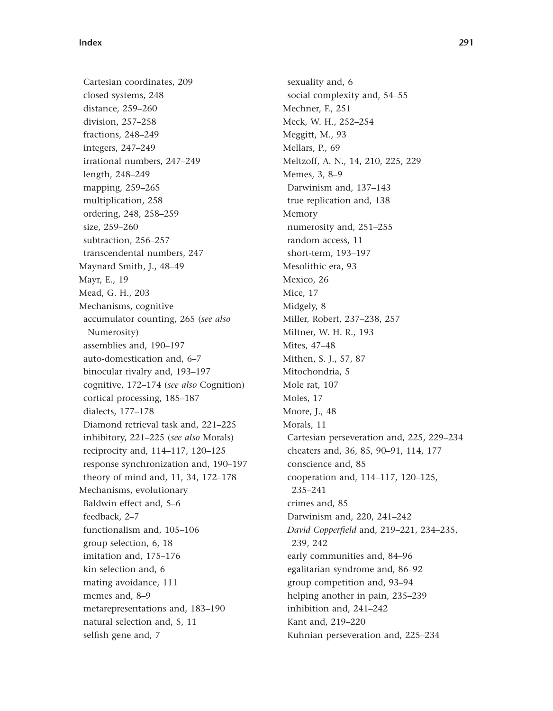Cartesian coordinates, 209 closed systems, 248 distance, 259–260 division, 257–258 fractions, 248–249 integers, 247–249 irrational numbers, 247–249 length, 248–249 mapping, 259–265 multiplication, 258 ordering, 248, 258–259 size, 259–260 subtraction, 256–257 transcendental numbers, 247 Maynard Smith, J., 48–49 Mayr, E., 19 Mead, G. H., 203 Mechanisms, cognitive accumulator counting, 265 (*see also* Numerosity) assemblies and, 190–197 auto-domestication and, 6–7 binocular rivalry and, 193–197 cognitive, 172–174 (*see also* Cognition) cortical processing, 185–187 dialects, 177–178 Diamond retrieval task and, 221–225 inhibitory, 221–225 (*see also* Morals) reciprocity and, 114–117, 120–125 response synchronization and, 190–197 theory of mind and, 11, 34, 172–178 Mechanisms, evolutionary Baldwin effect and, 5–6 feedback, 2–7 functionalism and, 105–106 group selection, 6, 18 imitation and, 175–176 kin selection and, 6 mating avoidance, 111 memes and, 8–9 metarepresentations and, 183–190 natural selection and, 5, 11 selfish gene and, 7

sexuality and, 6 social complexity and, 54–55 Mechner, F., 251 Meck, W. H., 252–254 Meggitt, M., 93 Mellars, P., 69 Meltzoff, A. N., 14, 210, 225, 229 Memes, 3, 8–9 Darwinism and, 137–143 true replication and, 138 Memory numerosity and, 251–255 random access, 11 short-term, 193–197 Mesolithic era, 93 Mexico, 26 Mice, 17 Midgely, 8 Miller, Robert, 237–238, 257 Miltner, W. H. R., 193 Mites, 47–48 Mithen, S. J., 57, 87 Mitochondria, 5 Mole rat, 107 Moles, 17 Moore, J., 48 Morals, 11 Cartesian perseveration and, 225, 229–234 cheaters and, 36, 85, 90–91, 114, 177 conscience and, 85 cooperation and, 114–117, 120–125, 235–241 crimes and, 85 Darwinism and, 220, 241–242 *David Copperfield* and, 219–221, 234–235, 239, 242 early communities and, 84–96 egalitarian syndrome and, 86–92 group competition and, 93–94 helping another in pain, 235–239 inhibition and, 241–242 Kant and, 219–220 Kuhnian perseveration and, 225–234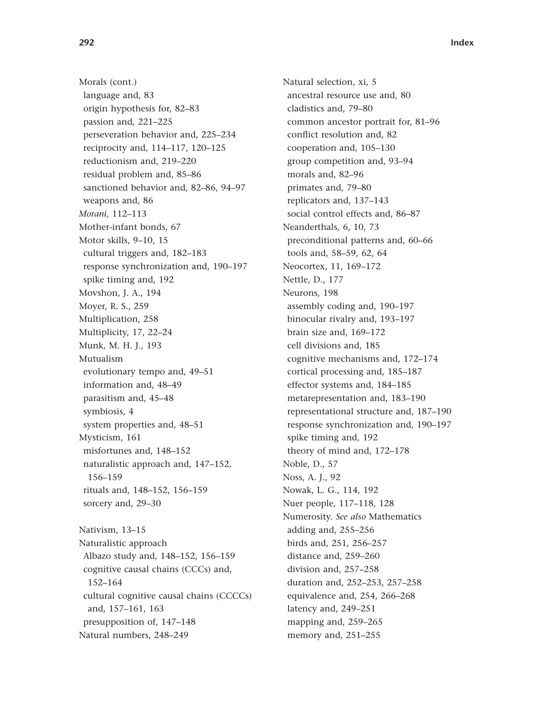Morals (cont.) language and, 83 origin hypothesis for, 82–83 passion and, 221–225 perseveration behavior and, 225–234 reciprocity and, 114–117, 120–125 reductionism and, 219–220 residual problem and, 85–86 sanctioned behavior and, 82–86, 94–97 weapons and, 86 *Morani*, 112–113 Mother-infant bonds, 67 Motor skills, 9–10, 15 cultural triggers and, 182–183 response synchronization and, 190–197 spike timing and, 192 Movshon, J. A., 194 Moyer, R. S., 259 Multiplication, 258 Multiplicity, 17, 22–24 Munk, M. H. J., 193 Mutualism evolutionary tempo and, 49–51 information and, 48–49 parasitism and, 45–48 symbiosis, 4 system properties and, 48–51 Mysticism, 161 misfortunes and, 148–152 naturalistic approach and, 147–152, 156–159 rituals and, 148–152, 156–159 sorcery and, 29–30

Nativism, 13–15 Naturalistic approach Albazo study and, 148–152, 156–159 cognitive causal chains (CCCs) and, 152–164 cultural cognitive causal chains (CCCCs) and, 157–161, 163 presupposition of, 147–148 Natural numbers, 248–249

Natural selection, xi, 5 ancestral resource use and, 80 cladistics and, 79–80 common ancestor portrait for, 81–96 conflict resolution and, 82 cooperation and, 105–130 group competition and, 93–94 morals and, 82–96 primates and, 79–80 replicators and, 137–143 social control effects and, 86–87 Neanderthals, 6, 10, 73 preconditional patterns and, 60–66 tools and, 58–59, 62, 64 Neocortex, 11, 169–172 Nettle, D., 177 Neurons, 198 assembly coding and, 190–197 binocular rivalry and, 193–197 brain size and, 169–172 cell divisions and, 185 cognitive mechanisms and, 172–174 cortical processing and, 185–187 effector systems and, 184–185 metarepresentation and, 183–190 representational structure and, 187–190 response synchronization and, 190–197 spike timing and, 192 theory of mind and, 172–178 Noble, D., 57 Noss, A. J., 92 Nowak, L. G., 114, 192 Nuer people, 117–118, 128 Numerosity. *See also* Mathematics adding and, 255–256 birds and, 251, 256–257 distance and, 259–260 division and, 257–258 duration and, 252–253, 257–258 equivalence and, 254, 266–268 latency and, 249–251 mapping and, 259–265 memory and, 251–255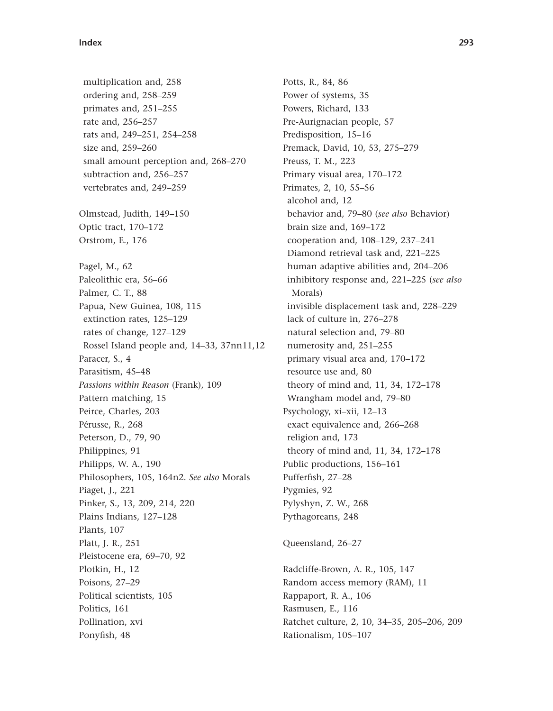multiplication and, 258 ordering and, 258–259 primates and, 251–255 rate and, 256–257 rats and, 249–251, 254–258 size and, 259–260 small amount perception and, 268–270 subtraction and, 256–257 vertebrates and, 249–259 Olmstead, Judith, 149–150 Optic tract, 170–172 Orstrom, E., 176 Pagel, M., 62 Paleolithic era, 56–66 Palmer, C. T., 88 Papua, New Guinea, 108, 115 extinction rates, 125–129 rates of change, 127–129 Rossel Island people and, 14–33, 37nn11,12 Paracer, S., 4 Parasitism, 45–48 *Passions within Reason* (Frank), 109 Pattern matching, 15 Peirce, Charles, 203 Pérusse, R., 268 Peterson, D., 79, 90 Philippines, 91 Philipps, W. A., 190 Philosophers, 105, 164n2. *See also* Morals Piaget, J., 221 Pinker, S., 13, 209, 214, 220 Plains Indians, 127–128 Plants, 107 Platt, J. R., 251 Pleistocene era, 69–70, 92 Plotkin, H., 12 Poisons, 27–29 Political scientists, 105 Politics, 161 Pollination, xvi Ponyfish, 48

Potts, R., 84, 86 Power of systems, 35 Powers, Richard, 133 Pre-Aurignacian people, 57 Predisposition, 15–16 Premack, David, 10, 53, 275–279 Preuss, T. M., 223 Primary visual area, 170–172 Primates, 2, 10, 55–56 alcohol and, 12 behavior and, 79–80 (*see also* Behavior) brain size and, 169–172 cooperation and, 108–129, 237–241 Diamond retrieval task and, 221–225 human adaptive abilities and, 204–206 inhibitory response and, 221–225 (*see also* Morals) invisible displacement task and, 228–229 lack of culture in, 276–278 natural selection and, 79–80 numerosity and, 251–255 primary visual area and, 170–172 resource use and, 80 theory of mind and, 11, 34, 172–178 Wrangham model and, 79–80 Psychology, xi–xii, 12–13 exact equivalence and, 266–268 religion and, 173 theory of mind and, 11, 34, 172–178 Public productions, 156–161 Pufferfish, 27–28 Pygmies, 92 Pylyshyn, Z. W., 268 Pythagoreans, 248 Queensland, 26–27

Radcliffe-Brown, A. R., 105, 147 Random access memory (RAM), 11 Rappaport, R. A., 106 Rasmusen, E., 116 Ratchet culture, 2, 10, 34–35, 205–206, 209 Rationalism, 105–107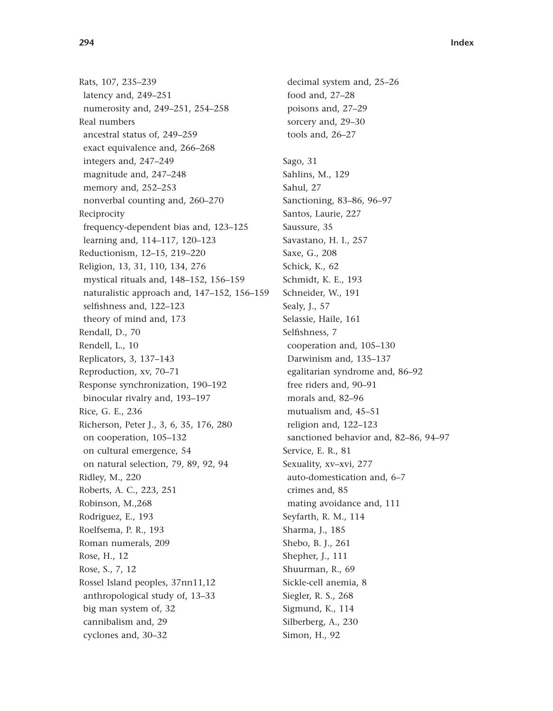Rats, 107, 235–239 latency and, 249–251 numerosity and, 249–251, 254–258 Real numbers ancestral status of, 249–259 exact equivalence and, 266–268 integers and, 247–249 magnitude and, 247–248 memory and, 252–253 nonverbal counting and, 260–270 Reciprocity frequency-dependent bias and, 123–125 learning and, 114–117, 120–123 Reductionism, 12–15, 219–220 Religion, 13, 31, 110, 134, 276 mystical rituals and, 148–152, 156–159 naturalistic approach and, 147–152, 156–159 selfishness and, 122–123 theory of mind and, 173 Rendall, D., 70 Rendell, L., 10 Replicators, 3, 137–143 Reproduction, xv, 70–71 Response synchronization, 190–192 binocular rivalry and, 193–197 Rice, G. E., 236 Richerson, Peter J., 3, 6, 35, 176, 280 on cooperation, 105–132 on cultural emergence, 54 on natural selection, 79, 89, 92, 94 Ridley, M., 220 Roberts, A. C., 223, 251 Robinson, M.,268 Rodriguez, E., 193 Roelfsema, P. R., 193 Roman numerals, 209 Rose, H., 12 Rose, S., 7, 12 Rossel Island peoples, 37nn11,12 anthropological study of, 13–33 big man system of, 32 cannibalism and, 29 cyclones and, 30–32

decimal system and, 25–26 food and, 27–28 poisons and, 27–29 sorcery and, 29–30 tools and, 26–27 Sago, 31 Sahlins, M., 129 Sahul, 27 Sanctioning, 83–86, 96–97 Santos, Laurie, 227 Saussure, 35 Savastano, H. I., 257 Saxe, G., 208 Schick, K., 62 Schmidt, K. E., 193 Schneider, W., 191 Sealy, J., 57 Selassie, Haile, 161 Selfishness, 7 cooperation and, 105–130 Darwinism and, 135–137 egalitarian syndrome and, 86–92 free riders and, 90–91 morals and, 82–96 mutualism and, 45–51 religion and, 122–123 sanctioned behavior and, 82–86, 94–97 Service, E. R., 81 Sexuality, xv–xvi, 277 auto-domestication and, 6–7 crimes and, 85 mating avoidance and, 111 Seyfarth, R. M., 114 Sharma, J., 185 Shebo, B. J., 261 Shepher, J., 111 Shuurman, R., 69 Sickle-cell anemia, 8 Siegler, R. S., 268 Sigmund, K., 114 Silberberg, A., 230 Simon, H., 92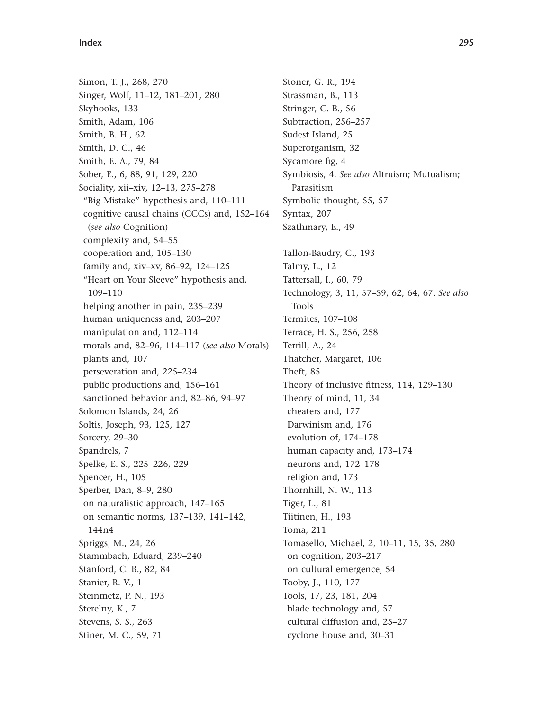Simon, T. J., 268, 270 Singer, Wolf, 11–12, 181–201, 280 Skyhooks, 133 Smith, Adam, 106 Smith, B. H., 62 Smith, D. C., 46 Smith, E. A., 79, 84 Sober, E., 6, 88, 91, 129, 220 Sociality, xii–xiv, 12–13, 275–278 "Big Mistake" hypothesis and, 110–111 cognitive causal chains (CCCs) and, 152–164 (*see also* Cognition) complexity and, 54–55 cooperation and, 105–130 family and, xiv–xv, 86–92, 124–125 "Heart on Your Sleeve" hypothesis and, 109–110 helping another in pain, 235–239 human uniqueness and, 203–207 manipulation and, 112–114 morals and, 82–96, 114–117 (*see also* Morals) plants and, 107 perseveration and, 225–234 public productions and, 156–161 sanctioned behavior and, 82–86, 94–97 Solomon Islands, 24, 26 Soltis, Joseph, 93, 125, 127 Sorcery, 29–30 Spandrels, 7 Spelke, E. S., 225–226, 229 Spencer, H., 105 Sperber, Dan, 8–9, 280 on naturalistic approach, 147–165 on semantic norms, 137–139, 141–142, 144n4 Spriggs, M., 24, 26 Stammbach, Eduard, 239–240 Stanford, C. B., 82, 84 Stanier, R. V., 1 Steinmetz, P. N., 193 Sterelny, K., 7 Stevens, S. S., 263 Stiner, M. C., 59, 71

Stoner, G. R., 194 Strassman, B., 113 Stringer, C. B., 56 Subtraction, 256–257 Sudest Island, 25 Superorganism, 32 Sycamore fig, 4 Symbiosis, 4. *See also* Altruism; Mutualism; Parasitism Symbolic thought, 55, 57 Syntax, 207 Szathmary, E., 49 Tallon-Baudry, C., 193 Talmy, L., 12 Tattersall, I., 60, 79 Technology, 3, 11, 57–59, 62, 64, 67. *See also* Tools Termites, 107–108 Terrace, H. S., 256, 258 Terrill, A., 24 Thatcher, Margaret, 106 Theft, 85 Theory of inclusive fitness, 114, 129–130 Theory of mind, 11, 34 cheaters and, 177 Darwinism and, 176 evolution of, 174–178 human capacity and, 173–174 neurons and, 172–178 religion and, 173 Thornhill, N. W., 113 Tiger, L., 81 Tiitinen, H., 193 Toma, 211 Tomasello, Michael, 2, 10–11, 15, 35, 280 on cognition, 203–217 on cultural emergence, 54 Tooby, J., 110, 177 Tools, 17, 23, 181, 204 blade technology and, 57 cultural diffusion and, 25–27 cyclone house and, 30–31